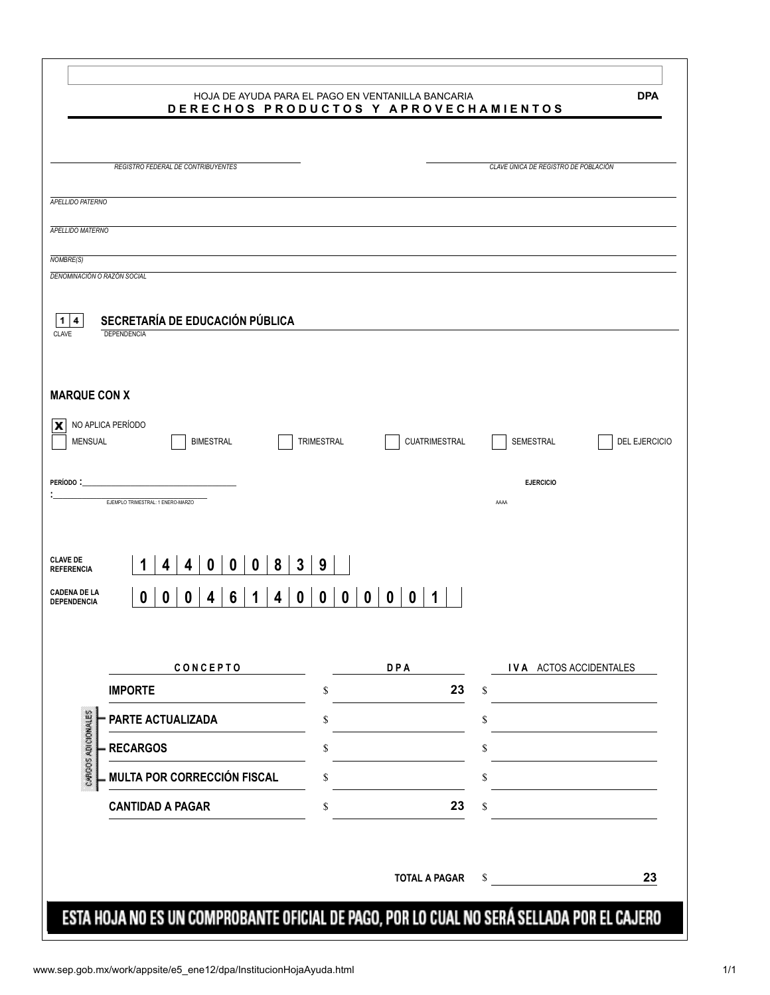|                                                                                            | <b>DPA</b><br>HOJA DE AYUDA PARA EL PAGO EN VENTANILLA BANCARIA<br>DERECHOS PRODUCTOS Y APROVECHAMIENTOS |
|--------------------------------------------------------------------------------------------|----------------------------------------------------------------------------------------------------------|
| REGISTRO FEDERAL DE CONTRIBUYENTES                                                         | CLAVE ÚNICA DE REGISTRO DE POBLACIÓN                                                                     |
|                                                                                            |                                                                                                          |
| APELLIDO PATERNO                                                                           |                                                                                                          |
| <b>APELLIDO MATERNO</b>                                                                    |                                                                                                          |
| NOMBRE(S)                                                                                  |                                                                                                          |
| DENOMINACIÓN O RAZÓN SOCIAL                                                                |                                                                                                          |
|                                                                                            |                                                                                                          |
| SECRETARÍA DE EDUCACIÓN PÚBLICA<br>1<br>4<br>DEPENDENCIA<br><b>CLAVE</b>                   |                                                                                                          |
|                                                                                            |                                                                                                          |
|                                                                                            |                                                                                                          |
| <b>MARQUE CON X</b>                                                                        |                                                                                                          |
| NO APLICA PERÍODO<br>x                                                                     |                                                                                                          |
| MENSUAL<br><b>BIMESTRAL</b><br>TRIMESTRAL                                                  | <b>CUATRIMESTRAL</b><br>SEMESTRAL<br>DEL EJERCICIO                                                       |
|                                                                                            |                                                                                                          |
| Período :<br>EJEMPLO TRIMESTRAL: 1 ENERO-MARZO                                             | <b>EJERCICIO</b><br>AAAA                                                                                 |
|                                                                                            |                                                                                                          |
|                                                                                            |                                                                                                          |
| <b>CLAVE DE</b><br>8<br>3<br>9<br>4<br>$\bf{0}$<br>$\bf{0}$<br>0<br>4<br><b>REFERENCIA</b> |                                                                                                          |
| <b>CADENA DE LA</b><br>6<br>0<br>0<br>0<br>0<br>0<br>4<br>4                                | 0<br>$\mathbf{0}$<br>$\mathbf{0}$<br>0                                                                   |
| DEPENDENCIA                                                                                |                                                                                                          |
|                                                                                            |                                                                                                          |
| CONCEPTO                                                                                   | <b>DPA</b><br>IVA ACTOS ACCIDENTALES                                                                     |
| <b>IMPORTE</b><br>\$                                                                       | 23<br>\$                                                                                                 |
| PARTE ACTUALIZADA<br>\$                                                                    | \$                                                                                                       |
| CARGOS ADICIONALES<br><b>RECARGOS</b><br>\$                                                | \$                                                                                                       |
| MULTA POR CORRECCIÓN FISCAL<br>\$                                                          | \$                                                                                                       |
|                                                                                            |                                                                                                          |
| <b>CANTIDAD A PAGAR</b><br>\$                                                              | 23<br>\$                                                                                                 |
|                                                                                            |                                                                                                          |
|                                                                                            | 23<br><b>TOTAL A PAGAR</b><br>\$                                                                         |
|                                                                                            |                                                                                                          |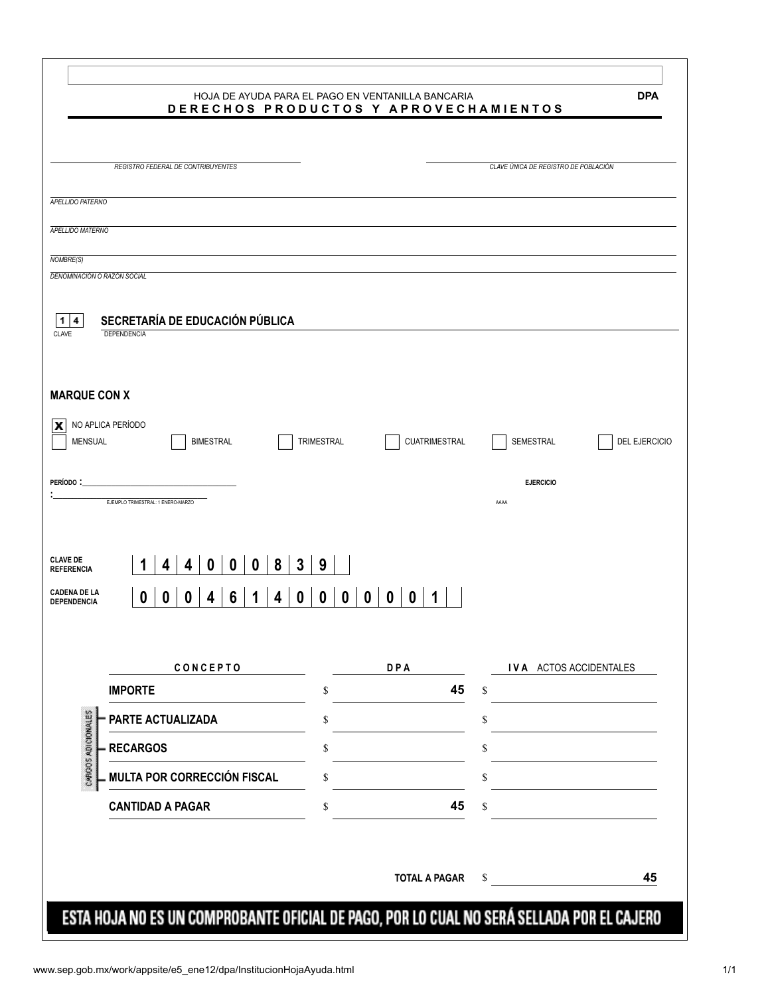|                                      |                                                | HOJA DE AYUDA PARA EL PAGO EN VENTANILLA BANCARIA<br>DERECHOS PRODUCTOS Y APROVECHAMIENTOS | <b>DPA</b>                           |
|--------------------------------------|------------------------------------------------|--------------------------------------------------------------------------------------------|--------------------------------------|
|                                      | REGISTRO FEDERAL DE CONTRIBUYENTES             |                                                                                            | CLAVE ÚNICA DE REGISTRO DE POBLACIÓN |
|                                      |                                                |                                                                                            |                                      |
| APELLIDO PATERNO                     |                                                |                                                                                            |                                      |
| <b>APELLIDO MATERNO</b>              |                                                |                                                                                            |                                      |
| NOMBRE(S)                            |                                                |                                                                                            |                                      |
| DENOMINACIÓN O RAZÓN SOCIAL          |                                                |                                                                                            |                                      |
|                                      |                                                |                                                                                            |                                      |
| 1<br>4<br><b>CLAVE</b>               | SECRETARÍA DE EDUCACIÓN PÚBLICA<br>DEPENDENCIA |                                                                                            |                                      |
|                                      |                                                |                                                                                            |                                      |
|                                      |                                                |                                                                                            |                                      |
| <b>MARQUE CON X</b>                  |                                                |                                                                                            |                                      |
| NO APLICA PERÍODO<br>x               |                                                |                                                                                            |                                      |
| MENSUAL                              | <b>BIMESTRAL</b>                               | TRIMESTRAL<br><b>CUATRIMESTRAL</b>                                                         | SEMESTRAL<br>DEL EJERCICIO           |
| Período :                            |                                                |                                                                                            | <b>EJERCICIO</b>                     |
|                                      | EJEMPLO TRIMESTRAL: 1 ENERO-MARZO              |                                                                                            | AAAA                                 |
|                                      |                                                |                                                                                            |                                      |
|                                      |                                                |                                                                                            |                                      |
| <b>CLAVE DE</b><br><b>REFERENCIA</b> | 8<br>3<br>4<br>$\bf{0}$<br>$\bf{0}$<br>0<br>4  | 9                                                                                          |                                      |
| <b>CADENA DE LA</b><br>DEPENDENCIA   | 6<br>0<br>0<br>0<br>0<br>4<br>4                | 0<br>0<br>$\mathbf{0}$<br>$\mathbf{0}$<br>0                                                |                                      |
|                                      |                                                |                                                                                            |                                      |
|                                      |                                                |                                                                                            |                                      |
|                                      | CONCEPTO                                       | <b>DPA</b>                                                                                 | IVA ACTOS ACCIDENTALES               |
|                                      | <b>IMPORTE</b>                                 | 45<br>\$                                                                                   | \$                                   |
|                                      | PARTE ACTUALIZADA                              | \$                                                                                         | \$                                   |
|                                      | <b>RECARGOS</b>                                | \$                                                                                         | \$                                   |
| CARGOS ADICIONALES                   | MULTA POR CORRECCIÓN FISCAL                    | \$                                                                                         | \$                                   |
|                                      | <b>CANTIDAD A PAGAR</b>                        | 45<br>\$                                                                                   | \$                                   |
|                                      |                                                |                                                                                            |                                      |
|                                      |                                                |                                                                                            |                                      |
|                                      |                                                |                                                                                            |                                      |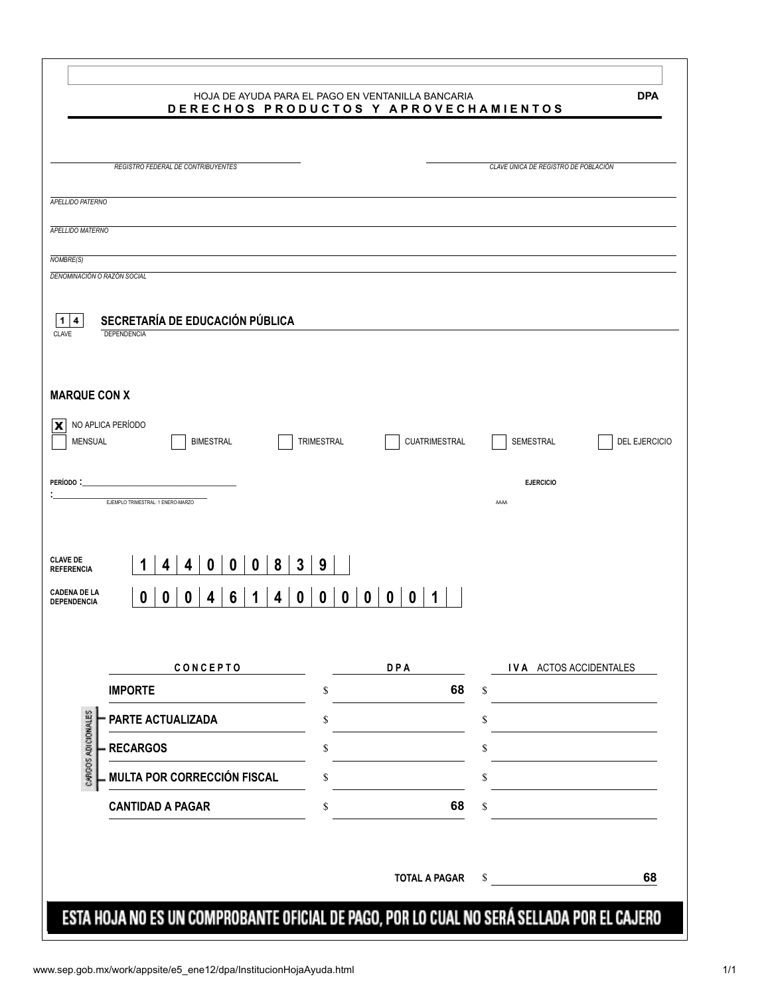|                                      |                                                | HOJA DE AYUDA PARA EL PAGO EN VENTANILLA BANCARIA<br>DERECHOS PRODUCTOS Y APROVECHAMIENTOS | <b>DPA</b>                           |
|--------------------------------------|------------------------------------------------|--------------------------------------------------------------------------------------------|--------------------------------------|
|                                      | REGISTRO FEDERAL DE CONTRIBUYENTES             |                                                                                            | CLAVE ÚNICA DE REGISTRO DE POBLACIÓN |
|                                      |                                                |                                                                                            |                                      |
| APELLIDO PATERNO                     |                                                |                                                                                            |                                      |
| <b>APELLIDO MATERNO</b>              |                                                |                                                                                            |                                      |
| NOMBRE(S)                            |                                                |                                                                                            |                                      |
|                                      | DENOMINACIÓN O RAZÓN SOCIAL                    |                                                                                            |                                      |
|                                      |                                                |                                                                                            |                                      |
| 1<br>4<br><b>CLAVE</b>               | SECRETARÍA DE EDUCACIÓN PÚBLICA<br>DEPENDENCIA |                                                                                            |                                      |
|                                      |                                                |                                                                                            |                                      |
|                                      |                                                |                                                                                            |                                      |
| <b>MARQUE CON X</b>                  |                                                |                                                                                            |                                      |
| x                                    | NO APLICA PERÍODO                              |                                                                                            |                                      |
| MENSUAL                              | <b>BIMESTRAL</b>                               | TRIMESTRAL<br><b>CUATRIMESTRAL</b>                                                         | SEMESTRAL<br>DEL EJERCICIO           |
|                                      |                                                |                                                                                            |                                      |
| Período :                            | EJEMPLO TRIMESTRAL: 1 ENERO-MARZO              |                                                                                            | <b>EJERCICIO</b><br>AAAA             |
|                                      |                                                |                                                                                            |                                      |
|                                      |                                                |                                                                                            |                                      |
| <b>CLAVE DE</b><br><b>REFERENCIA</b> | 8<br>3<br>4<br>$\bf{0}$<br>$\bf{0}$<br>0<br>4  | 9                                                                                          |                                      |
| <b>CADENA DE LA</b>                  | 6<br>0<br>0<br>0<br>0<br>4<br>4                | 0<br>0<br>$\mathbf{0}$<br>$\mathbf{0}$<br>0                                                |                                      |
| DEPENDENCIA                          |                                                |                                                                                            |                                      |
|                                      |                                                |                                                                                            |                                      |
|                                      | CONCEPTO                                       | <b>DPA</b>                                                                                 | IVA ACTOS ACCIDENTALES               |
|                                      | <b>IMPORTE</b>                                 | 68<br>\$                                                                                   | \$                                   |
|                                      | PARTE ACTUALIZADA                              | \$                                                                                         | \$                                   |
| CARGOS ADICIONALES                   | <b>RECARGOS</b>                                | \$                                                                                         | \$                                   |
|                                      | MULTA POR CORRECCIÓN FISCAL                    | \$                                                                                         | \$                                   |
|                                      | <b>CANTIDAD A PAGAR</b>                        | 68<br>\$                                                                                   | \$                                   |
|                                      |                                                |                                                                                            |                                      |
|                                      |                                                |                                                                                            |                                      |
|                                      |                                                |                                                                                            |                                      |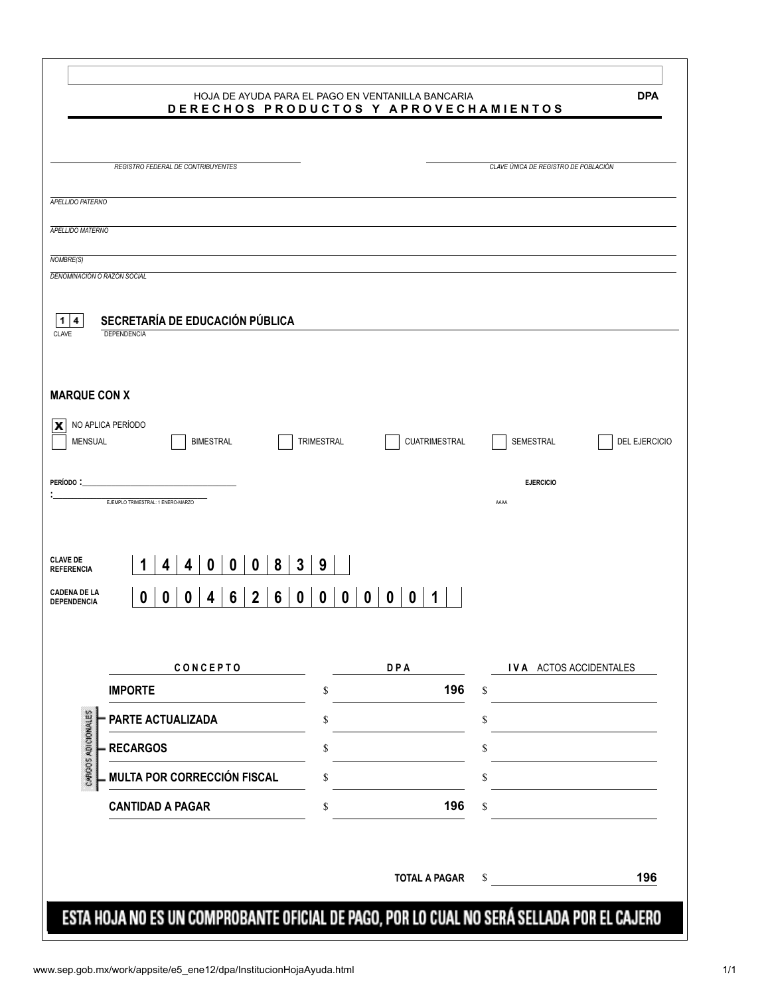|                                      |                                                 | HOJA DE AYUDA PARA EL PAGO EN VENTANILLA BANCARIA<br>DERECHOS PRODUCTOS Y APROVECHAMIENTOS | <b>DPA</b>                           |
|--------------------------------------|-------------------------------------------------|--------------------------------------------------------------------------------------------|--------------------------------------|
|                                      | REGISTRO FEDERAL DE CONTRIBUYENTES              |                                                                                            | CLAVE ÚNICA DE REGISTRO DE POBLACIÓN |
|                                      |                                                 |                                                                                            |                                      |
| APELLIDO PATERNO                     |                                                 |                                                                                            |                                      |
| <b>APELLIDO MATERNO</b>              |                                                 |                                                                                            |                                      |
| NOMBRE(S)                            |                                                 |                                                                                            |                                      |
| DENOMINACIÓN O RAZÓN SOCIAL          |                                                 |                                                                                            |                                      |
|                                      |                                                 |                                                                                            |                                      |
| 1<br>4<br><b>CLAVE</b>               | SECRETARÍA DE EDUCACIÓN PÚBLICA<br>DEPENDENCIA  |                                                                                            |                                      |
|                                      |                                                 |                                                                                            |                                      |
|                                      |                                                 |                                                                                            |                                      |
| <b>MARQUE CON X</b>                  |                                                 |                                                                                            |                                      |
| NO APLICA PERÍODO<br>x               |                                                 |                                                                                            |                                      |
| MENSUAL                              | <b>BIMESTRAL</b>                                | TRIMESTRAL<br><b>CUATRIMESTRAL</b>                                                         | SEMESTRAL<br>DEL EJERCICIO           |
|                                      |                                                 |                                                                                            |                                      |
| Período :                            | EJEMPLO TRIMESTRAL: 1 ENERO-MARZO               |                                                                                            | <b>EJERCICIO</b><br>AAAA             |
|                                      |                                                 |                                                                                            |                                      |
|                                      |                                                 |                                                                                            |                                      |
| <b>CLAVE DE</b><br><b>REFERENCIA</b> | 8<br>3<br>4<br>$\bf{0}$<br>$\bf{0}$<br>0<br>4   | 9                                                                                          |                                      |
| <b>CADENA DE LA</b>                  | $\mathbf{2}$<br>6<br>6<br>0<br>0<br>0<br>0<br>4 | 0<br>0<br>$\mathbf{0}$<br>$\mathbf{0}$<br>0                                                |                                      |
| DEPENDENCIA                          |                                                 |                                                                                            |                                      |
|                                      |                                                 |                                                                                            |                                      |
|                                      | CONCEPTO                                        | <b>DPA</b>                                                                                 | IVA ACTOS ACCIDENTALES               |
|                                      | <b>IMPORTE</b>                                  | 196<br>\$                                                                                  | \$                                   |
|                                      | PARTE ACTUALIZADA                               | \$                                                                                         | \$                                   |
| CARGOS ADICIONALES                   | <b>RECARGOS</b>                                 | \$                                                                                         | \$                                   |
|                                      | MULTA POR CORRECCIÓN FISCAL                     | \$                                                                                         | \$                                   |
|                                      | <b>CANTIDAD A PAGAR</b>                         | 196<br>\$                                                                                  | \$                                   |
|                                      |                                                 |                                                                                            |                                      |
|                                      |                                                 |                                                                                            |                                      |
|                                      |                                                 | <b>TOTAL A PAGAR</b>                                                                       | 196<br>\$                            |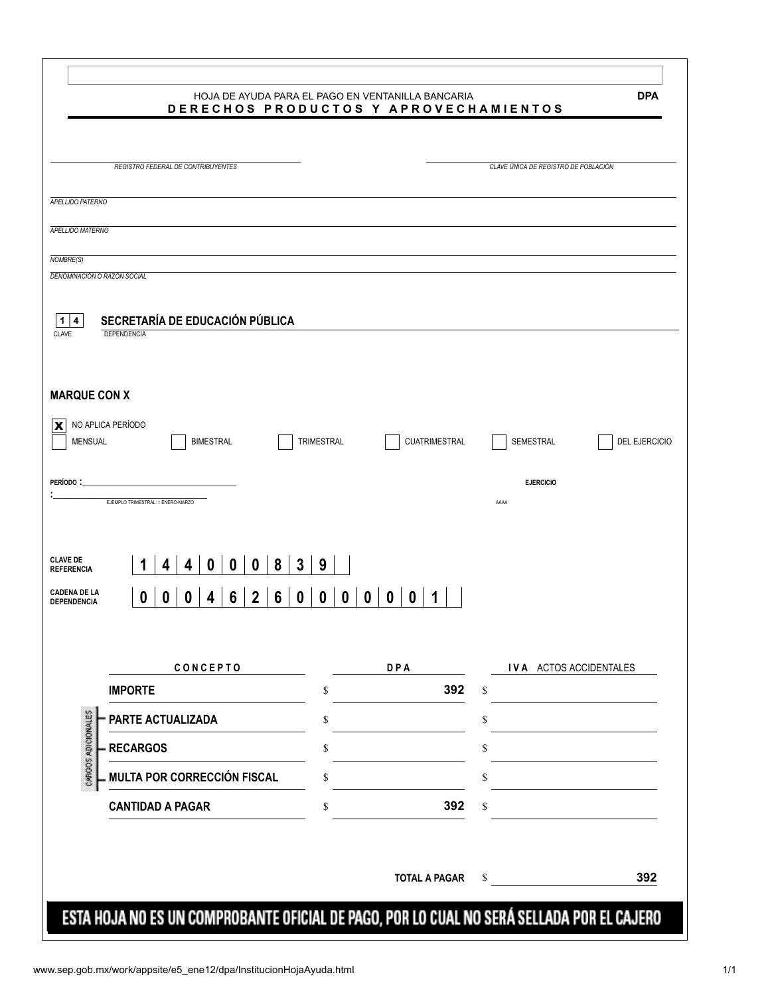|                                      |                                                 | HOJA DE AYUDA PARA EL PAGO EN VENTANILLA BANCARIA<br>DERECHOS PRODUCTOS Y APROVECHAMIENTOS | <b>DPA</b>                           |
|--------------------------------------|-------------------------------------------------|--------------------------------------------------------------------------------------------|--------------------------------------|
|                                      | REGISTRO FEDERAL DE CONTRIBUYENTES              |                                                                                            | CLAVE ÚNICA DE REGISTRO DE POBLACIÓN |
|                                      |                                                 |                                                                                            |                                      |
| APELLIDO PATERNO                     |                                                 |                                                                                            |                                      |
| <b>APELLIDO MATERNO</b>              |                                                 |                                                                                            |                                      |
| NOMBRE(S)                            |                                                 |                                                                                            |                                      |
|                                      | DENOMINACIÓN O RAZÓN SOCIAL                     |                                                                                            |                                      |
|                                      |                                                 |                                                                                            |                                      |
| 1<br>4<br><b>CLAVE</b>               | SECRETARÍA DE EDUCACIÓN PÚBLICA<br>DEPENDENCIA  |                                                                                            |                                      |
|                                      |                                                 |                                                                                            |                                      |
|                                      |                                                 |                                                                                            |                                      |
| <b>MARQUE CON X</b>                  |                                                 |                                                                                            |                                      |
| x                                    | NO APLICA PERÍODO                               |                                                                                            |                                      |
| MENSUAL                              | <b>BIMESTRAL</b>                                | TRIMESTRAL<br><b>CUATRIMESTRAL</b>                                                         | SEMESTRAL<br>DEL EJERCICIO           |
|                                      |                                                 |                                                                                            |                                      |
| Período :                            |                                                 |                                                                                            | <b>EJERCICIO</b>                     |
|                                      | EJEMPLO TRIMESTRAL: 1 ENERO-MARZO               |                                                                                            | AAAA                                 |
|                                      |                                                 |                                                                                            |                                      |
| <b>CLAVE DE</b><br><b>REFERENCIA</b> | 8<br>3<br>4<br>$\bf{0}$<br>$\bf{0}$<br>0<br>4   | 9                                                                                          |                                      |
| <b>CADENA DE LA</b>                  |                                                 |                                                                                            |                                      |
| DEPENDENCIA                          | $\mathbf{2}$<br>6<br>6<br>0<br>0<br>0<br>0<br>4 | 0<br>0<br>$\mathbf{0}$<br>$\mathbf{0}$<br>0                                                |                                      |
|                                      |                                                 |                                                                                            |                                      |
|                                      |                                                 |                                                                                            | IVA ACTOS ACCIDENTALES               |
|                                      | CONCEPTO<br><b>IMPORTE</b>                      | <b>DPA</b><br>392<br>\$                                                                    | \$                                   |
|                                      |                                                 |                                                                                            |                                      |
|                                      | PARTE ACTUALIZADA                               | \$                                                                                         | \$                                   |
| CARGOS ADICIONALES                   | <b>RECARGOS</b>                                 | \$                                                                                         | \$                                   |
|                                      | MULTA POR CORRECCIÓN FISCAL                     | \$                                                                                         | \$                                   |
|                                      | <b>CANTIDAD A PAGAR</b>                         | 392<br>\$                                                                                  | \$                                   |
|                                      |                                                 |                                                                                            |                                      |
|                                      |                                                 |                                                                                            |                                      |
|                                      |                                                 |                                                                                            |                                      |